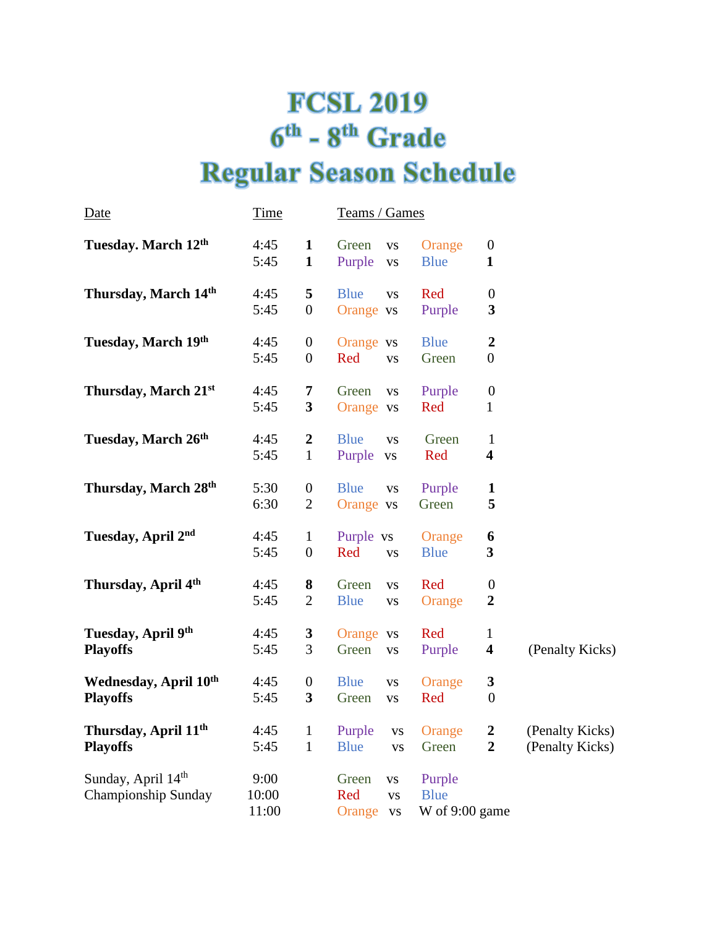## **FCSL 2019**  $6<sup>th</sup>$  -  $8<sup>th</sup>$  Grade **Regular Season Schedule**

| <u>Date</u>                                         | <u>Time</u>            |                                      | <u>Teams / Games</u>                                           |                                           |                                         |                                    |
|-----------------------------------------------------|------------------------|--------------------------------------|----------------------------------------------------------------|-------------------------------------------|-----------------------------------------|------------------------------------|
| Tuesday. March 12th                                 | 4:45<br>5:45           | $\mathbf{1}$<br>$\mathbf{1}$         | Green<br><b>VS</b><br>Purple<br><b>VS</b>                      | Orange<br><b>Blue</b>                     | $\boldsymbol{0}$<br>$\mathbf{1}$        |                                    |
| Thursday, March 14th                                | 4:45<br>5:45           | 5<br>$\boldsymbol{0}$                | <b>Blue</b><br><b>VS</b><br>Orange vs                          | Red<br>Purple                             | $\boldsymbol{0}$<br>3                   |                                    |
| Tuesday, March 19th                                 | 4:45<br>5:45           | $\boldsymbol{0}$<br>$\boldsymbol{0}$ | Orange vs<br>Red<br><b>VS</b>                                  | <b>Blue</b><br>Green                      | $\boldsymbol{2}$<br>$\overline{0}$      |                                    |
| Thursday, March 21st                                | 4:45<br>5:45           | 7<br>3                               | Green<br><b>VS</b><br>Orange vs                                | Purple<br>Red                             | $\boldsymbol{0}$<br>$\mathbf 1$         |                                    |
| Tuesday, March 26th                                 | 4:45<br>5:45           | $\boldsymbol{2}$<br>$\mathbf{1}$     | <b>Blue</b><br><b>VS</b><br>Purple<br>${\bf VS}$               | Green<br>Red                              | $\mathbf{1}$<br>$\overline{\mathbf{4}}$ |                                    |
| Thursday, March 28th                                | 5:30<br>6:30           | $\boldsymbol{0}$<br>$\overline{2}$   | <b>Blue</b><br><b>VS</b><br>Orange vs                          | Purple<br>Green                           | $\mathbf{1}$<br>5                       |                                    |
| Tuesday, April 2nd                                  | 4:45<br>5:45           | $\mathbf{1}$<br>$\boldsymbol{0}$     | Purple vs<br>Red<br><b>VS</b>                                  | Orange<br><b>Blue</b>                     | 6<br>$\overline{\mathbf{3}}$            |                                    |
| Thursday, April 4th                                 | 4:45<br>5:45           | 8<br>$\mathfrak{2}$                  | Green<br><b>VS</b><br><b>Blue</b><br><b>VS</b>                 | Red<br>Orange                             | $\boldsymbol{0}$<br>$\boldsymbol{2}$    |                                    |
| Tuesday, April 9th<br><b>Playoffs</b>               | 4:45<br>5:45           | 3<br>3                               | Orange vs<br>Green<br><b>VS</b>                                | Red<br>Purple                             | $\mathbf{1}$<br>$\overline{\mathbf{4}}$ | (Penalty Kicks)                    |
| <b>Wednesday, April 10th</b><br><b>Playoffs</b>     | 4:45<br>5:45           | $\boldsymbol{0}$<br>$\mathbf{3}$     | <b>Blue</b><br><b>VS</b><br>Green<br><b>VS</b>                 | Orange<br>Red                             | $\mathbf{3}$<br>$\boldsymbol{0}$        |                                    |
| Thursday, April 11 <sup>th</sup><br><b>Playoffs</b> | 4:45<br>5:45           | $\mathbf{1}$<br>$\mathbf{1}$         | Purple<br>${\bf VS}$<br><b>Blue</b><br><b>VS</b>               | Orange<br>Green                           | $\boldsymbol{2}$<br>$\overline{2}$      | (Penalty Kicks)<br>(Penalty Kicks) |
| Sunday, April 14th<br>Championship Sunday           | 9:00<br>10:00<br>11:00 |                                      | Green<br>${\bf VS}$<br>Red<br><b>VS</b><br>Orange<br><b>VS</b> | Purple<br><b>Blue</b><br>W of $9:00$ game |                                         |                                    |